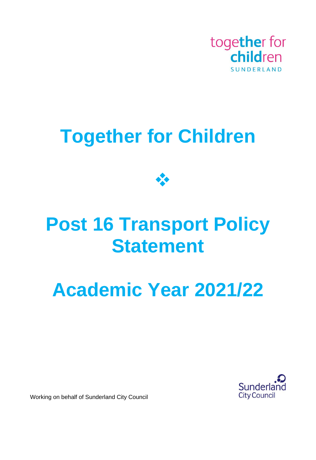

## **Together for Children**



## **Post 16 Transport Policy Statement**

# **Academic Year 2021/22**



Working on behalf of Sunderland City Council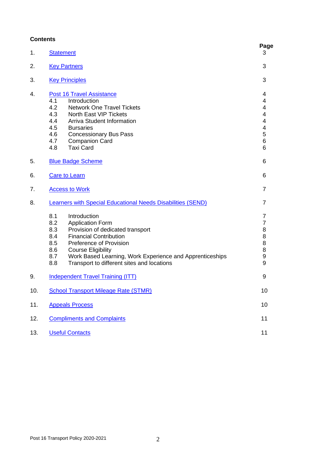## **Contents**

| 1.  | <b>Statement</b>                                                                                                                                                                                                                                                                                                                       | Page<br>3                                                                                                                        |  |
|-----|----------------------------------------------------------------------------------------------------------------------------------------------------------------------------------------------------------------------------------------------------------------------------------------------------------------------------------------|----------------------------------------------------------------------------------------------------------------------------------|--|
| 2.  | <b>Key Partners</b>                                                                                                                                                                                                                                                                                                                    |                                                                                                                                  |  |
| 3.  | <b>Key Principles</b>                                                                                                                                                                                                                                                                                                                  | 3                                                                                                                                |  |
| 4.  | <b>Post 16 Travel Assistance</b><br>4.1<br>Introduction<br>4.2<br><b>Network One Travel Tickets</b><br>4.3<br><b>North East VIP Tickets</b><br>4.4<br><b>Arriva Student Information</b><br>4.5<br><b>Bursaries</b><br>4.6<br><b>Concessionary Bus Pass</b><br>4.7<br><b>Companion Card</b><br>4.8<br><b>Taxi Card</b>                  | 4<br>4<br>4<br>$\overline{\mathcal{A}}$<br>$\overline{\mathbf{4}}$<br>$\overline{\mathbf{4}}$<br>$\frac{5}{6}$<br>$\overline{6}$ |  |
| 5.  | <b>Blue Badge Scheme</b>                                                                                                                                                                                                                                                                                                               |                                                                                                                                  |  |
| 6.  | <b>Care to Learn</b>                                                                                                                                                                                                                                                                                                                   |                                                                                                                                  |  |
| 7.  | <b>Access to Work</b>                                                                                                                                                                                                                                                                                                                  | 7                                                                                                                                |  |
| 8.  | Learners with Special Educational Needs Disabilities (SEND)                                                                                                                                                                                                                                                                            | 7                                                                                                                                |  |
|     | 8.1<br>Introduction<br>8.2<br><b>Application Form</b><br>8.3<br>Provision of dedicated transport<br>8.4<br><b>Financial Contribution</b><br>8.5<br>Preference of Provision<br>8.6<br><b>Course Eligibility</b><br>Work Based Learning, Work Experience and Apprenticeships<br>8.7<br>8.8<br>Transport to different sites and locations | 7<br>$\overline{7}$<br>8889<br>9                                                                                                 |  |
| 9.  | <b>Independent Travel Training (ITT)</b>                                                                                                                                                                                                                                                                                               | 9                                                                                                                                |  |
| 10. | <b>School Transport Mileage Rate (STMR)</b>                                                                                                                                                                                                                                                                                            | 10                                                                                                                               |  |
| 11. | <b>Appeals Process</b>                                                                                                                                                                                                                                                                                                                 |                                                                                                                                  |  |
| 12. | <b>Compliments and Complaints</b>                                                                                                                                                                                                                                                                                                      |                                                                                                                                  |  |
| 13. | <b>Useful Contacts</b>                                                                                                                                                                                                                                                                                                                 | 11                                                                                                                               |  |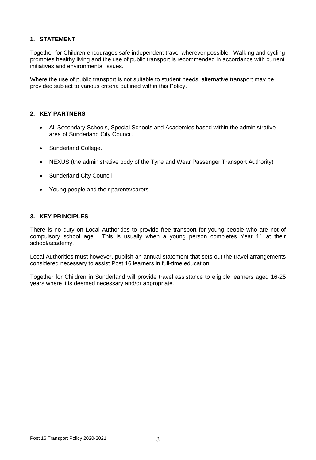## <span id="page-2-0"></span>**1. STATEMENT**

Together for Children encourages safe independent travel wherever possible. Walking and cycling promotes healthy living and the use of public transport is recommended in accordance with current initiatives and environmental issues.

Where the use of public transport is not suitable to student needs, alternative transport may be provided subject to various criteria outlined within this Policy.

#### <span id="page-2-1"></span>**2. KEY PARTNERS**

- All Secondary Schools, Special Schools and Academies based within the administrative area of Sunderland City Council.
- Sunderland College.
- NEXUS (the administrative body of the Tyne and Wear Passenger Transport Authority)
- Sunderland City Council
- Young people and their parents/carers

#### <span id="page-2-2"></span>**3. KEY PRINCIPLES**

There is no duty on Local Authorities to provide free transport for young people who are not of compulsory school age. This is usually when a young person completes Year 11 at their school/academy.

Local Authorities must however, publish an annual statement that sets out the travel arrangements considered necessary to assist Post 16 learners in full-time education.

Together for Children in Sunderland will provide travel assistance to eligible learners aged 16-25 years where it is deemed necessary and/or appropriate.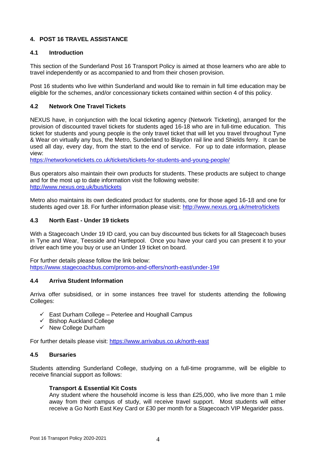## <span id="page-3-0"></span>**4. POST 16 TRAVEL ASSISTANCE**

### **4.1 Introduction**

This section of the Sunderland Post 16 Transport Policy is aimed at those learners who are able to travel independently or as accompanied to and from their chosen provision.

Post 16 students who live within Sunderland and would like to remain in full time education may be eligible for the schemes, and/or concessionary tickets contained within section 4 of this policy.

#### **4.2 Network One Travel Tickets**

NEXUS have, in conjunction with the local ticketing agency (Network Ticketing), arranged for the provision of discounted travel tickets for students aged 16-18 who are in full-time education. This ticket for students and young people is the only travel ticket that will let you travel throughout Tyne & Wear on virtually any bus, the Metro, Sunderland to Blaydon rail line and Shields ferry. It can be used all day, every day, from the start to the end of service. For up to date information, please view:

<https://networkonetickets.co.uk/tickets/tickets-for-students-and-young-people/>

Bus operators also maintain their own products for students. These products are subject to change and for the most up to date information visit the following website: <http://www.nexus.org.uk/bus/tickets>

Metro also maintains its own dedicated product for students, one for those aged 16-18 and one for students aged over 18. For further information please visit:<http://www.nexus.org.uk/metro/tickets>

#### **4.3 North East - Under 19 tickets**

With a Stagecoach Under 19 ID card, you can buy discounted bus tickets for all Stagecoach buses in Tyne and Wear, Teesside and Hartlepool. Once you have your card you can present it to your driver each time you buy or use an Under 19 ticket on board.

For further details please follow the link below: [https://www.stagecoachbus.com/promos-and-offers/north-east/under-19#](https://www.stagecoachbus.com/promos-and-offers/north-east/under-19)

#### **4.4 Arriva Student Information**

Arriva offer subsidised, or in some instances free travel for students attending the following Colleges:

- $\checkmark$  East Durham College Peterlee and Houghall Campus
- ✓ Bishop Auckland College
- ✓ New College Durham

For further details please visit:<https://www.arrivabus.co.uk/north-east>

#### **4.5 Bursaries**

Students attending Sunderland College, studying on a full-time programme, will be eligible to receive financial support as follows:

#### **Transport & Essential Kit Costs**

Any student where the household income is less than £25,000, who live more than 1 mile away from their campus of study, will receive travel support. Most students will either receive a Go North East Key Card or £30 per month for a Stagecoach VIP Megarider pass.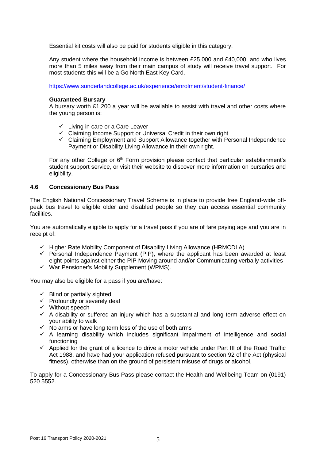Essential kit costs will also be paid for students eligible in this category.

Any student where the household income is between £25,000 and £40,000, and who lives more than 5 miles away from their main campus of study will receive travel support. For most students this will be a Go North East Key Card.

<https://www.sunderlandcollege.ac.uk/experience/enrolment/student-finance/>

#### **Guaranteed Bursary**

A bursary worth £1,200 a year will be available to assist with travel and other costs where the young person is:

- $\checkmark$  Living in care or a Care Leaver
- ✓ Claiming Income Support or Universal Credit in their own right
- ✓ Claiming Employment and Support Allowance together with Personal Independence Payment or Disability Living Allowance in their own right.

For any other College or 6<sup>th</sup> Form provision please contact that particular establishment's student support service, or visit their website to discover more information on bursaries and eligibility.

#### **4.6 Concessionary Bus Pass**

The English National Concessionary Travel Scheme is in place to provide free England-wide offpeak bus travel to eligible older and disabled people so they can access essential community facilities.

You are automatically eligible to apply for a travel pass if you are of fare paying age and you are in receipt of:

- ✓ Higher Rate Mobility Component of Disability Living Allowance (HRMCDLA)
- $\checkmark$  Personal Independence Payment (PIP), where the applicant has been awarded at least eight points against either the PIP Moving around and/or Communicating verbally activities
- ✓ War Pensioner's Mobility Supplement (WPMS).

You may also be eligible for a pass if you are/have:

- $\checkmark$  Blind or partially sighted
- ✓ Profoundly or severely deaf
- ✓ Without speech
- $\checkmark$  A disability or suffered an injury which has a substantial and long term adverse effect on your ability to walk
- ✓ No arms or have long term loss of the use of both arms
- $\checkmark$  A learning disability which includes significant impairment of intelligence and social functioning
- $\checkmark$  Applied for the grant of a licence to drive a motor vehicle under Part III of the Road Traffic Act 1988, and have had your application refused pursuant to section 92 of the Act (physical fitness), otherwise than on the ground of persistent misuse of drugs or alcohol.

To apply for a Concessionary Bus Pass please contact the Health and Wellbeing Team on (0191) 520 5552.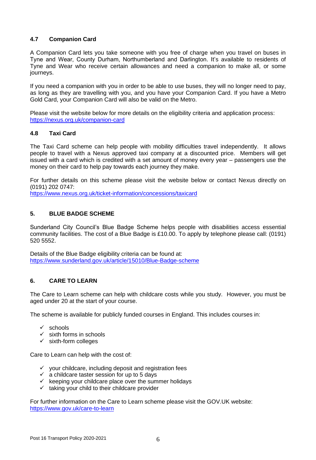## **4.7 Companion Card**

A Companion Card lets you take someone with you free of charge when you travel on buses in Tyne and Wear, County Durham, Northumberland and Darlington. It's available to residents of Tyne and Wear who receive certain allowances and need a companion to make all, or some journeys.

If you need a companion with you in order to be able to use buses, they will no longer need to pay, as long as they are travelling with you, and you have your Companion Card. If you have a Metro Gold Card, your Companion Card will also be valid on the Metro.

Please visit the website below for more details on the eligibility criteria and application process: <https://nexus.org.uk/companion-card>

## **4.8 Taxi Card**

The Taxi Card scheme can help people with mobility difficulties travel independently. It allows people to travel with a Nexus approved taxi company at a discounted price. Members will get issued with a card which is credited with a set amount of money every year – passengers use the money on their card to help pay towards each journey they make.

For further details on this scheme please visit the website below or contact Nexus directly on (0191) 202 0747:

<https://www.nexus.org.uk/ticket-information/concessions/taxicard>

## <span id="page-5-0"></span>**5. BLUE BADGE SCHEME**

Sunderland City Council's Blue Badge Scheme helps people with disabilities access essential community facilities. The cost of a Blue Badge is £10.00. To apply by telephone please call: (0191) 520 5552.

Details of the Blue Badge eligibility criteria can be found at: <https://www.sunderland.gov.uk/article/15010/Blue-Badge-scheme>

## <span id="page-5-1"></span>**6. CARE TO LEARN**

The Care to Learn scheme can help with childcare costs while you study. However, you must be aged under 20 at the start of your course.

The scheme is available for publicly funded courses in England. This includes courses in:

- ✓ schools
- $\checkmark$  sixth forms in schools
- $\checkmark$  sixth-form colleges

Care to Learn can help with the cost of:

- ✓ your childcare, including deposit and registration fees
- $\checkmark$  a childcare taster session for up to 5 days
- $\checkmark$  keeping your childcare place over the summer holidays
- $\checkmark$  taking your child to their childcare provider

For further information on the Care to Learn scheme please visit the GOV.UK website: <https://www.gov.uk/care-to-learn>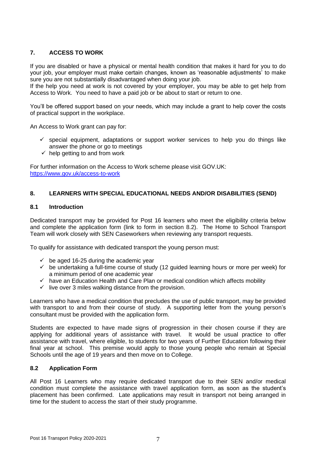## <span id="page-6-0"></span>**7. ACCESS TO WORK**

If you are disabled or have a physical or mental health condition that makes it hard for you to do your job, your employer must make certain changes, known as 'reasonable adjustments' to make sure you are not substantially disadvantaged when doing your job.

If the help you need at work is not covered by your employer, you may be able to get help from Access to Work. You need to have a paid job or be about to start or return to one.

You'll be offered support based on your needs, which may include a grant to help cover the costs of practical support in the workplace.

An Access to Work grant can pay for:

- $\checkmark$  special equipment, adaptations or support worker services to help you do things like answer the phone or go to meetings
- $\checkmark$  help getting to and from work

For further information on the Access to Work scheme please visit GOV.UK: <https://www.gov.uk/access-to-work>

### <span id="page-6-1"></span>**8. LEARNERS WITH SPECIAL EDUCATIONAL NEEDS AND/OR DISABILITIES (SEND)**

#### **8.1 Introduction**

Dedicated transport may be provided for Post 16 learners who meet the eligibility criteria below and complete the application form (link to form in section 8.2). The Home to School Transport Team will work closely with SEN Caseworkers when reviewing any transport requests.

To qualify for assistance with dedicated transport the young person must:

- $\checkmark$  be aged 16-25 during the academic year
- $\checkmark$  be undertaking a full-time course of study (12 guided learning hours or more per week) for a minimum period of one academic year
- $\checkmark$  have an Education Health and Care Plan or medical condition which affects mobility
- $\checkmark$  live over 3 miles walking distance from the provision.

Learners who have a medical condition that precludes the use of public transport, may be provided with transport to and from their course of study. A supporting letter from the young person's consultant must be provided with the application form.

Students are expected to have made signs of progression in their chosen course if they are applying for additional years of assistance with travel. It would be usual practice to offer assistance with travel, where eligible, to students for two years of Further Education following their final year at school. This premise would apply to those young people who remain at Special Schools until the age of 19 years and then move on to College.

#### **8.2 Application Form**

All Post 16 Learners who may require dedicated transport due to their SEN and/or medical condition must complete the assistance with travel application form, as soon as the student's placement has been confirmed. Late applications may result in transport not being arranged in time for the student to access the start of their study programme.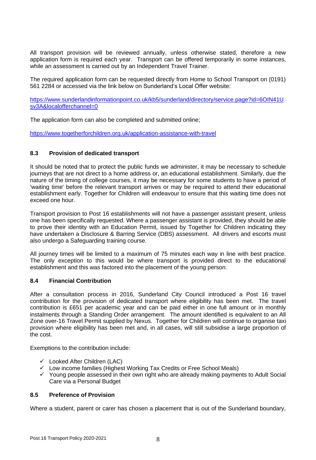All transport provision will be reviewed annually, unless otherwise stated, therefore a new application form is required each year. Transport can be offered temporarily in some instances, while an assessment is carried out by an Independent Travel Trainer.

The required application form can be requested directly from Home to School Transport on (0191) 561 2284 or accessed via the link below on Sunderland's Local Offer website:

[https://www.sunderlandinformationpoint.co.uk/kb5/sunderland/directory/service.page?id=6OIN41U](https://www.sunderlandinformationpoint.co.uk/kb5/sunderland/directory/service.page?id=6OIN41Usv3A&localofferchannel=0) [sv3A&localofferchannel=0](https://www.sunderlandinformationpoint.co.uk/kb5/sunderland/directory/service.page?id=6OIN41Usv3A&localofferchannel=0)

The application form can also be completed and submitted online;

<https://www.togetherforchildren.org.uk/application-assistance-with-travel>

#### **8.3 Provision of dedicated transport**

It should be noted that to protect the public funds we administer, it may be necessary to schedule journeys that are not direct to a home address or, an educational establishment. Similarly, due the nature of the timing of college courses, it may be necessary for some students to have a period of 'waiting time' before the relevant transport arrives or may be required to attend their educational establishment early. Together for Children will endeavour to ensure that this waiting time does not exceed one hour.

Transport provision to Post 16 establishments will not have a passenger assistant present, unless one has been specifically requested. Where a passenger assistant is provided, they should be able to prove their identity with an Education Permit, issued by Together for Children indicating they have undertaken a Disclosure & Barring Service (DBS) assessment. All drivers and escorts must also undergo a Safeguarding training course.

All journey times will be limited to a maximum of 75 minutes each way in line with best practice. The only exception to this would be where transport is provided direct to the educational establishment and this was factored into the placement of the young person.

#### **8.4 Financial Contribution**

After a consultation process in 2016, Sunderland City Council introduced a Post 16 travel contribution for the provision of dedicated transport where eligibility has been met. The travel contribution is £651 per academic year and can be paid either in one full amount or in monthly instalments through a Standing Order arrangement. The amount identified is equivalent to an All Zone over-16 Travel Permit supplied by Nexus. Together for Children will continue to organise taxi provision where eligibility has been met and, in all cases, will still subsidise a large proportion of the cost.

Exemptions to the contribution include:

- $\checkmark$  Looked After Children (LAC)
- ✓ Low income families (Highest Working Tax Credits or Free School Meals)
- ✓ Young people assessed in their own right who are already making payments to Adult Social Care via a Personal Budget

#### **8.5 Preference of Provision**

Where a student, parent or carer has chosen a placement that is out of the Sunderland boundary,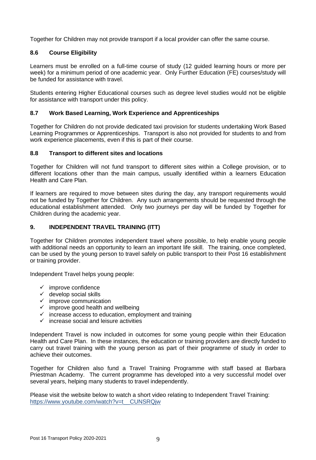Together for Children may not provide transport if a local provider can offer the same course.

## **8.6 Course Eligibility**

Learners must be enrolled on a full-time course of study (12 guided learning hours or more per week) for a minimum period of one academic year. Only Further Education (FE) courses/study will be funded for assistance with travel.

Students entering Higher Educational courses such as degree level studies would not be eligible for assistance with transport under this policy.

## **8.7 Work Based Learning, Work Experience and Apprenticeships**

Together for Children do not provide dedicated taxi provision for students undertaking Work Based Learning Programmes or Apprenticeships. Transport is also not provided for students to and from work experience placements, even if this is part of their course.

## **8.8 Transport to different sites and locations**

Together for Children will not fund transport to different sites within a College provision, or to different locations other than the main campus, usually identified within a learners Education Health and Care Plan.

If learners are required to move between sites during the day, any transport requirements would not be funded by Together for Children. Any such arrangements should be requested through the educational establishment attended. Only two journeys per day will be funded by Together for Children during the academic year.

## <span id="page-8-0"></span>**9. INDEPENDENT TRAVEL TRAINING (ITT)**

Together for Children promotes independent travel where possible, to help enable young people with additional needs an opportunity to learn an important life skill. The training, once completed, can be used by the young person to travel safely on public transport to their Post 16 establishment or training provider.

Independent Travel helps young people:

- $\checkmark$  improve confidence
- $\checkmark$  develop social skills
- $\checkmark$  improve communication
- $\checkmark$  improve good health and wellbeing
- $\checkmark$  increase access to education, employment and training
- $\checkmark$  increase social and leisure activities

Independent Travel is now included in outcomes for some young people within their Education Health and Care Plan. In these instances, the education or training providers are directly funded to carry out travel training with the young person as part of their programme of study in order to achieve their outcomes.

Together for Children also fund a Travel Training Programme with staff based at Barbara Priestman Academy. The current programme has developed into a very successful model over several years, helping many students to travel independently.

Please visit the website below to watch a short video relating to Independent Travel Training: [https://www.youtube.com/watch?v=t\\_\\_CUNSRQjw](https://www.youtube.com/watch?v=t__CUNSRQjw)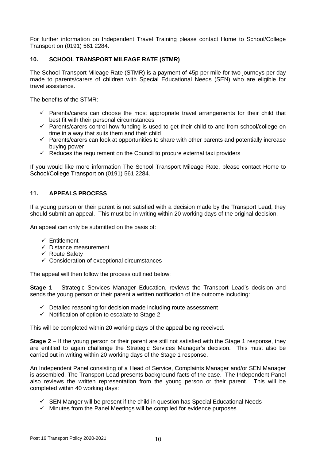For further information on Independent Travel Training please contact Home to School/College Transport on (0191) 561 2284.

#### <span id="page-9-0"></span>**10. SCHOOL TRANSPORT MILEAGE RATE (STMR)**

The School Transport Mileage Rate (STMR) is a payment of 45p per mile for two journeys per day made to parents/carers of children with Special Educational Needs (SEN) who are eligible for travel assistance.

The benefits of the STMR:

- $\checkmark$  Parents/carers can choose the most appropriate travel arrangements for their child that best fit with their personal circumstances
- $\checkmark$  Parents/carers control how funding is used to get their child to and from school/college on time in a way that suits them and their child
- $\checkmark$  Parents/carers can look at opportunities to share with other parents and potentially increase buying power
- $\checkmark$  Reduces the requirement on the Council to procure external taxi providers

If you would like more information The School Transport Mileage Rate, please contact Home to School/College Transport on (0191) 561 2284.

## <span id="page-9-1"></span>**11. APPEALS PROCESS**

If a young person or their parent is not satisfied with a decision made by the Transport Lead, they should submit an appeal. This must be in writing within 20 working days of the original decision.

An appeal can only be submitted on the basis of:

- ✓ Entitlement
- $\checkmark$  Distance measurement
- ✓ Route Safety
- $\checkmark$  Consideration of exceptional circumstances

The appeal will then follow the process outlined below:

**Stage 1** – Strategic Services Manager Education, reviews the Transport Lead's decision and sends the young person or their parent a written notification of the outcome including:

- $\checkmark$  Detailed reasoning for decision made including route assessment
- $\checkmark$  Notification of option to escalate to Stage 2

This will be completed within 20 working days of the appeal being received.

**Stage 2** – If the young person or their parent are still not satisfied with the Stage 1 response, they are entitled to again challenge the Strategic Services Manager's decision. This must also be carried out in writing within 20 working days of the Stage 1 response.

An Independent Panel consisting of a Head of Service, Complaints Manager and/or SEN Manager is assembled. The Transport Lead presents background facts of the case. The Independent Panel also reviews the written representation from the young person or their parent. This will be completed within 40 working days:

- $\checkmark$  SEN Manger will be present if the child in question has Special Educational Needs
- $\checkmark$  Minutes from the Panel Meetings will be compiled for evidence purposes